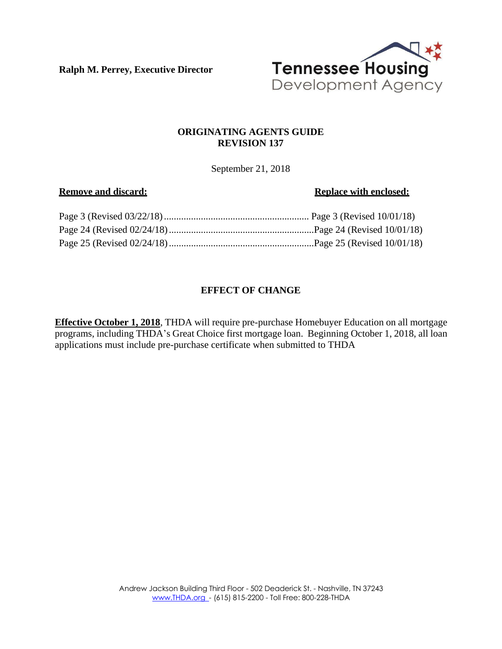**Ralph M. Perrey, Executive Director**



# **ORIGINATING AGENTS GUIDE REVISION 137**

September 21, 2018

## **Remove** and discard: **Replace Replace** with **enclosed: Replace with enclosed:**

# **EFFECT OF CHANGE**

**Effective October 1, 2018**, THDA will require pre-purchase Homebuyer Education on all mortgage programs, including THDA's Great Choice first mortgage loan. Beginning October 1, 2018, all loan applications must include pre-purchase certificate when submitted to THDA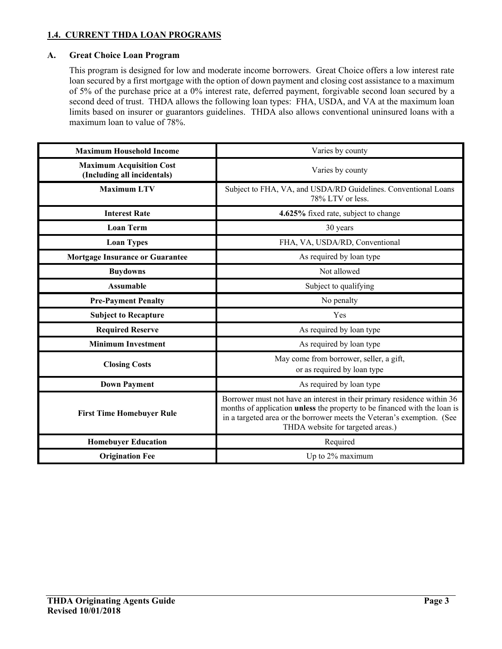## **1.4. CURRENT THDA LOAN PROGRAMS**

## **A. Great Choice Loan Program**

This program is designed for low and moderate income borrowers. Great Choice offers a low interest rate loan secured by a first mortgage with the option of down payment and closing cost assistance to a maximum of 5% of the purchase price at a 0% interest rate, deferred payment, forgivable second loan secured by a second deed of trust. THDA allows the following loan types: FHA, USDA, and VA at the maximum loan limits based on insurer or guarantors guidelines. THDA also allows conventional uninsured loans with a maximum loan to value of 78%.

| <b>Maximum Household Income</b>                                | Varies by county                                                                                                                                                                                                                                                    |
|----------------------------------------------------------------|---------------------------------------------------------------------------------------------------------------------------------------------------------------------------------------------------------------------------------------------------------------------|
| <b>Maximum Acquisition Cost</b><br>(Including all incidentals) | Varies by county                                                                                                                                                                                                                                                    |
| <b>Maximum LTV</b>                                             | Subject to FHA, VA, and USDA/RD Guidelines. Conventional Loans<br>78% LTV or less.                                                                                                                                                                                  |
| <b>Interest Rate</b>                                           | 4.625% fixed rate, subject to change                                                                                                                                                                                                                                |
| <b>Loan Term</b>                                               | 30 years                                                                                                                                                                                                                                                            |
| <b>Loan Types</b>                                              | FHA, VA, USDA/RD, Conventional                                                                                                                                                                                                                                      |
| <b>Mortgage Insurance or Guarantee</b>                         | As required by loan type                                                                                                                                                                                                                                            |
| <b>Buydowns</b>                                                | Not allowed                                                                                                                                                                                                                                                         |
| <b>Assumable</b>                                               | Subject to qualifying                                                                                                                                                                                                                                               |
| <b>Pre-Payment Penalty</b>                                     | No penalty                                                                                                                                                                                                                                                          |
| <b>Subject to Recapture</b>                                    | Yes                                                                                                                                                                                                                                                                 |
| <b>Required Reserve</b>                                        | As required by loan type                                                                                                                                                                                                                                            |
| <b>Minimum Investment</b>                                      | As required by loan type                                                                                                                                                                                                                                            |
| <b>Closing Costs</b>                                           | May come from borrower, seller, a gift,<br>or as required by loan type                                                                                                                                                                                              |
| <b>Down Payment</b>                                            | As required by loan type                                                                                                                                                                                                                                            |
| <b>First Time Homebuyer Rule</b>                               | Borrower must not have an interest in their primary residence within 36<br>months of application unless the property to be financed with the loan is<br>in a targeted area or the borrower meets the Veteran's exemption. (See<br>THDA website for targeted areas.) |
| <b>Homebuyer Education</b>                                     | Required                                                                                                                                                                                                                                                            |
| <b>Origination Fee</b>                                         | Up to 2% maximum                                                                                                                                                                                                                                                    |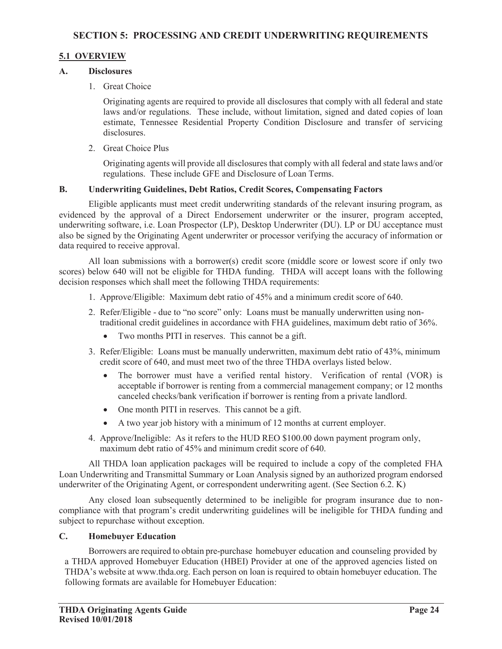## **5.1 OVERVIEW**

## **A. Disclosures**

1. Great Choice

Originating agents are required to provide all disclosures that comply with all federal and state laws and/or regulations. These include, without limitation, signed and dated copies of loan estimate, Tennessee Residential Property Condition Disclosure and transfer of servicing disclosures.

2. Great Choice Plus

Originating agents will provide all disclosures that comply with all federal and state laws and/or regulations. These include GFE and Disclosure of Loan Terms.

## **B. Underwriting Guidelines, Debt Ratios, Credit Scores, Compensating Factors**

Eligible applicants must meet credit underwriting standards of the relevant insuring program, as evidenced by the approval of a Direct Endorsement underwriter or the insurer, program accepted, underwriting software, i.e. Loan Prospector (LP), Desktop Underwriter (DU). LP or DU acceptance must also be signed by the Originating Agent underwriter or processor verifying the accuracy of information or data required to receive approval.

All loan submissions with a borrower(s) credit score (middle score or lowest score if only two scores) below 640 will not be eligible for THDA funding. THDA will accept loans with the following decision responses which shall meet the following THDA requirements:

- 1. Approve/Eligible: Maximum debt ratio of 45% and a minimum credit score of 640.
- 2. Refer/Eligible due to "no score" only: Loans must be manually underwritten using non traditional credit guidelines in accordance with FHA guidelines, maximum debt ratio of 36%.
	- Two months PITI in reserves. This cannot be a gift.
- 3. Refer/Eligible: Loans must be manually underwritten, maximum debt ratio of 43%, minimum credit score of 640, and must meet two of the three THDA overlays listed below.
	- The borrower must have a verified rental history. Verification of rental (VOR) is acceptable if borrower is renting from a commercial management company; or 12 months canceled checks/bank verification if borrower is renting from a private landlord.
	- One month PITI in reserves. This cannot be a gift.
	- A two year job history with a minimum of 12 months at current employer.
- 4. Approve/Ineligible: As it refers to the HUD REO \$100.00 down payment program only, maximum debt ratio of 45% and minimum credit score of 640.

All THDA loan application packages will be required to include a copy of the completed FHA Loan Underwriting and Transmittal Summary or Loan Analysis signed by an authorized program endorsed underwriter of the Originating Agent, or correspondent underwriting agent. (See Section 6.2. K)

Any closed loan subsequently determined to be ineligible for program insurance due to noncompliance with that program's credit underwriting guidelines will be ineligible for THDA funding and subject to repurchase without exception.

#### **C. Homebuyer Education**

 Borrowers are required to obtain pre-purchase homebuyer education and counseling provided by a THDA approved Homebuyer Education (HBEI) Provider at one of the approved agencies listed on THDA's website at www.thda.org. Each person on loan is required to obtain homebuyer education. The following formats are available for Homebuyer Education: